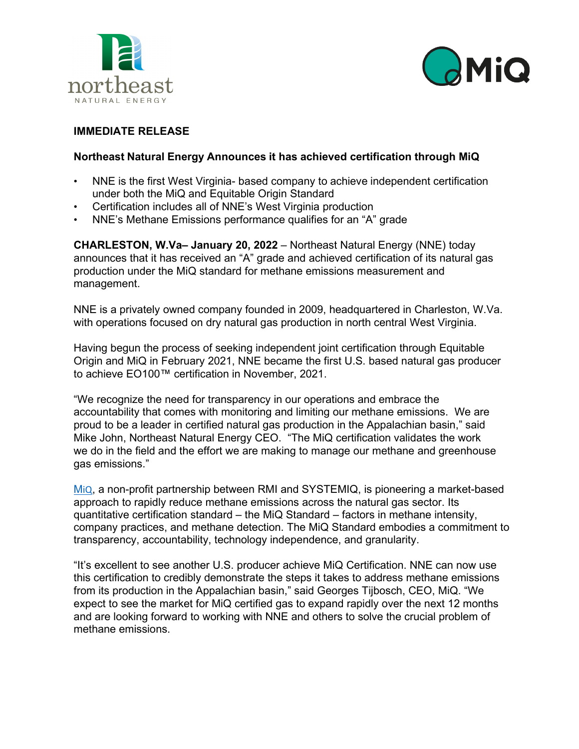



# **IMMEDIATE RELEASE**

## **Northeast Natural Energy Announces it has achieved certification through MiQ**

- NNE is the first West Virginia- based company to achieve independent certification under both the MiQ and Equitable Origin Standard
- Certification includes all of NNE's West Virginia production
- NNE's Methane Emissions performance qualifies for an "A" grade

**CHARLESTON, W.Va– January 20, 2022** – Northeast Natural Energy (NNE) today announces that it has received an "A" grade and achieved certification of its natural gas production under the MiQ standard for methane emissions measurement and management.

NNE is a privately owned company founded in 2009, headquartered in Charleston, W.Va. with operations focused on dry natural gas production in north central West Virginia.

Having begun the process of seeking independent joint certification through Equitable Origin and MiQ in February 2021, NNE became the first U.S. based natural gas producer to achieve EO100™ certification in November, 2021.

"We recognize the need for transparency in our operations and embrace the accountability that comes with monitoring and limiting our methane emissions. We are proud to be a leader in certified natural gas production in the Appalachian basin," said Mike John, Northeast Natural Energy CEO. "The MiQ certification validates the work we do in the field and the effort we are making to manage our methane and greenhouse gas emissions."

[M](https://miq.org/methane-challenges/)[iQ](https://miq.org/methane-challenges/), a non-profit partnership between RMI and SYSTEMIQ, is pioneering a market-based approach to rapidly reduce methane emissions across the natural gas sector. Its quantitative certification standard – the MiQ Standard – factors in methane intensity, company practices, and methane detection. The MiQ Standard embodies a commitment to transparency, accountability, technology independence, and granularity.

"It's excellent to see another U.S. producer achieve MiQ Certification. NNE can now use this certification to credibly demonstrate the steps it takes to address methane emissions from its production in the Appalachian basin," said Georges Tijbosch, CEO, MiQ. "We expect to see the market for MiQ certified gas to expand rapidly over the next 12 months and are looking forward to working with NNE and others to solve the crucial problem of methane emissions.